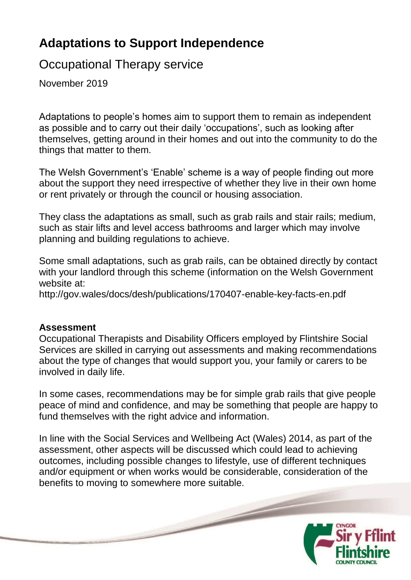# **Adaptations to Support Independence**

# Occupational Therapy service

November 2019

Adaptations to people's homes aim to support them to remain as independent as possible and to carry out their daily 'occupations', such as looking after themselves, getting around in their homes and out into the community to do the things that matter to them.

The Welsh Government's 'Enable' scheme is a way of people finding out more about the support they need irrespective of whether they live in their own home or rent privately or through the council or housing association.

They class the adaptations as small, such as grab rails and stair rails; medium, such as stair lifts and level access bathrooms and larger which may involve planning and building regulations to achieve.

Some small adaptations, such as grab rails, can be obtained directly by contact with your landlord through this scheme (information on the Welsh Government website at:

http://gov.wales/docs/desh/publications/170407-enable-key-facts-en.pdf

#### **Assessment**

Occupational Therapists and Disability Officers employed by Flintshire Social Services are skilled in carrying out assessments and making recommendations about the type of changes that would support you, your family or carers to be involved in daily life.

In some cases, recommendations may be for simple grab rails that give people peace of mind and confidence, and may be something that people are happy to fund themselves with the right advice and information.

In line with the Social Services and Wellbeing Act (Wales) 2014, as part of the assessment, other aspects will be discussed which could lead to achieving outcomes, including possible changes to lifestyle, use of different techniques and/or equipment or when works would be considerable, consideration of the benefits to moving to somewhere more suitable.

 $\overline{\phantom{a}}$ 

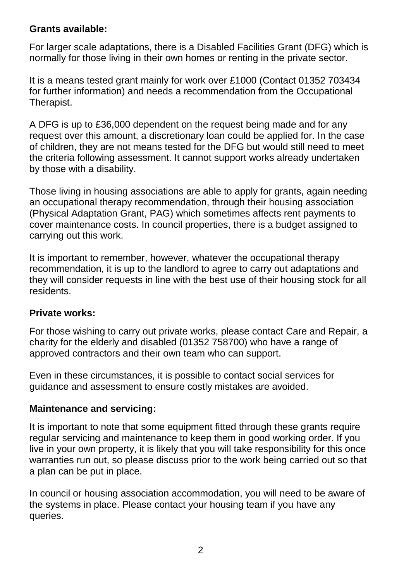### **Grants available:**

For larger scale adaptations, there is a Disabled Facilities Grant (DFG) which is normally for those living in their own homes or renting in the private sector.

It is a means tested grant mainly for work over £1000 (Contact 01352 703434 for further information) and needs a recommendation from the Occupational Therapist.

A DFG is up to £36,000 dependent on the request being made and for any request over this amount, a discretionary loan could be applied for. In the case of children, they are not means tested for the DFG but would still need to meet the criteria following assessment. It cannot support works already undertaken by those with a disability.

Those living in housing associations are able to apply for grants, again needing an occupational therapy recommendation, through their housing association (Physical Adaptation Grant, PAG) which sometimes affects rent payments to cover maintenance costs. In council properties, there is a budget assigned to carrying out this work.

It is important to remember, however, whatever the occupational therapy recommendation, it is up to the landlord to agree to carry out adaptations and they will consider requests in line with the best use of their housing stock for all residents.

## **Private works:**

For those wishing to carry out private works, please contact Care and Repair, a charity for the elderly and disabled (01352 758700) who have a range of approved contractors and their own team who can support.

Even in these circumstances, it is possible to contact social services for guidance and assessment to ensure costly mistakes are avoided.

## **Maintenance and servicing:**

It is important to note that some equipment fitted through these grants require regular servicing and maintenance to keep them in good working order. If you live in your own property, it is likely that you will take responsibility for this once warranties run out, so please discuss prior to the work being carried out so that a plan can be put in place.

In council or housing association accommodation, you will need to be aware of the systems in place. Please contact your housing team if you have any queries.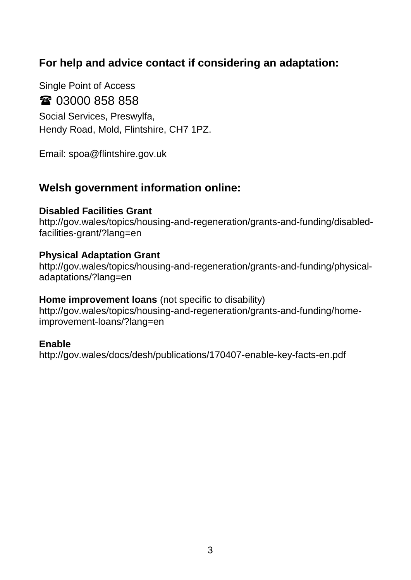## **For help and advice contact if considering an adaptation:**

Single Point of Access ■ 03000 858 858 Social Services, Preswylfa, Hendy Road, Mold, Flintshire, CH7 1PZ.

Email: spoa@flintshire.gov.uk

## **Welsh government information online:**

#### **Disabled Facilities Grant**

http://gov.wales/topics/housing-and-regeneration/grants-and-funding/disabledfacilities-grant/?lang=en

#### **Physical Adaptation Grant**

http://gov.wales/topics/housing-and-regeneration/grants-and-funding/physicaladaptations/?lang=en

#### **Home improvement loans** (not specific to disability)

http://gov.wales/topics/housing-and-regeneration/grants-and-funding/homeimprovement-loans/?lang=en

#### **Enable**

http://gov.wales/docs/desh/publications/170407-enable-key-facts-en.pdf